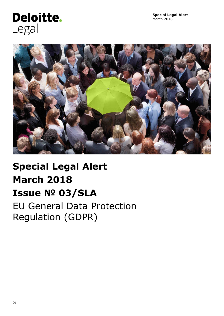# Deloitte. Legal



# **Special Legal Alert March 2018 Issue № 03/SLA** EU General Data Protection

Regulation (GDPR)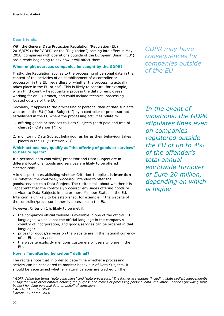#### **Dear friends,**

With the General Data Protection Regulation (Regulation (EU) 2016/679) (the "GDPR" or the "Regulation") coming into effect in May 2018, companies with operations outside of the European Union ("EU") are already beginning to ask how it will affect them.

#### **When might overseas companies be caught by the GDPR?**

Firstly, the Regulation applies to the processing of personal data in the context of the activities of an establishment of a controller or processor<sup>1</sup> in the EU, regardless of whether the processing actually takes place in the EU or not<sup>2</sup>. This is likely to capture, for example, when third country headquarters process the data of employees working for an EU branch, and could include technical processing located outside of the EU.

Secondly, it applies to the processing of personal data of data subjects who are in the EU ("Data Subjects") by a controller or processor not established in the EU where the processing activities relate to:

- 1. offering goods or services to Data Subjects (both paid and free of charge) ("Criterion 1"); or
- 2. monitoring Data Subject behaviour as far as their behaviour takes places in the EU ("Criterion  $2<sup>n</sup>$ )<sup>3</sup>.

#### **Which actions may qualify as "the offering of goods or services" to Data Subjects?**

If a personal data controller/ processor and Data Subject are in different locations, goods and services are likely to be offered electronically.

A key aspect in establishing whether Criterion 1 applies, is **intention** i.e. whether the controller/processor intended to offer the goods/services to a Data Subject. The recitals talk about whether it is "apparent" that the controller/processor envisages offering goods or services to Data Subjects in one or more Member States in the EU. Intention is unlikely to be established, for example, if the website of the controller/processor is merely accessible in the EU**.**

However, Criterion 1 is likely to be met if:

- the company's official website is available in one of the official EU languages, which is not the official language in the company's country of incorporation, and goods/services can be ordered in that language;
- prices for goods/services on the website are in the national currency of an EU country; or
- the website explicitly mentions customers or users who are in the EU.

#### **How is "monitoring behaviour" defined?**

The recitals note that in order to determine whether a processing activity can be considered to monitor behaviour of Data Subjects, it should be ascertained whether natural persons are tracked on the

*In the event of violations, the GDPR stipulates fines even on companies registered outside the EU of up to 4% of the offender's total annual worldwide turnover or Euro 20 million, depending on which is higher*

*<sup>2</sup> Article 3.1 of the GDPR*

ł

*GDPR may have consequences for companies outside of the EU*

<sup>&</sup>lt;sup>1</sup> GDPR define the terms "data controllers" and "data processors." The former are entities (including state bodies) independently *or together with other entities defining the purpose and means of processing personal data; the latter - entities (including state bodies) handling personal data on behalf of controllers*

*<sup>3</sup> Article 3.2 of the GDPR*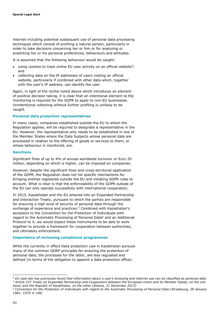internet including potential subsequent use of personal data processing techniques which consist of profiling a natural person, particularly in order to take decisions concerning her or him or for analyzing or predicting her or his personal preferences, behaviours and attitudes.

It is assumed that the following behaviour would be caught:

- $\bullet$  using cookies to track online EU user activity on an official website<sup>4</sup>; and
- collecting data on the IP addresses of users visiting an official website, particularly if combined with other data which, together with the user's IP address, can identify the user.

Again, in light of the recital noted above which introduces an element of positive decision taking, it is clear that an intentional element to the monitoring is required for the GDPR to apply to non-EU businesses. Unintentional collecting without further profiling is unlikely to be caught.

#### **Personal data protection representatives**

In many cases, companies established outside the EU to whom the Regulation applies, will be required to designate a representative in the EU. However, the representative only needs to be established in one of the Member States where the Data Subjects whose personal data are processed in relation to the offering of goods or services to them, or whose behaviour is monitored, are.

#### **Sanctions**

Significant fines of up to 4% of annual worldwide turnover or Euro 20 million, depending on which is higher, can be imposed on companies.

However, despite the significant fines and cross-territorial application of the GDPR, the Regulation does not list specific mechanisms for bringing entities registered outside the EU and violating GDPR rules to account. What is clear is that the enforceability of the GDPR outside of the EU can only operate successfully with international cooperation.

In 2015, Kazakhstan and the EU entered into an Expanded Partnership and Interaction Treaty, pursuant to which the parties are responsible for ensuring a high level of security of personal data through the exchange of experience and practices. <sup>5</sup> Combined with Kazakhstan's accession to the Convention for the Protection of Individuals with regard to the Automatic Processing of Personal Data<sup>6</sup> and an Additional Protocol to it, we would expect these instruments to be able to work together to provide a framework for cooperation between authorities, and ultimately enforcement.

#### **Importance of reviewing compliance programmes**

While the currently in effect Data protection Law in Kazakhstan pursues many of the common GDRP principles for ensuring the protection of personal data, the processes for the latter, are less regulated and defined (in terms of the obligation to appoint a data protection officer,

ł

<sup>4</sup> *EU case law has previously found that information about a user's browsing and internet use can be classified as personal data <sup>5</sup> Article 237 Treaty on Expanded Partnership and Cooperation between the European Union and its Member States, on the one hand, and the Republic of Kazakhstan, on the other (Astana, 21 December 2015)*

*<sup>6</sup> Convention for the Protection of Individuals with regard to the Automatic Processing of Personal Data (Strasbourg, 28 January 1981; CETS # 108)*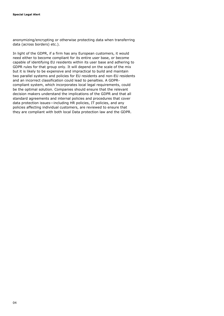anonymizing/encrypting or otherwise protecting data when transferring data (across borders) etc.).

In light of the GDPR, if a firm has any European customers, it would need either to become compliant for its entire user base, or become capable of identifying EU residents within its user base and adhering to GDPR rules for that group only. It will depend on the scale of the mix but it is likely to be expensive and impractical to build and maintain two parallel systems and policies for EU residents and non-EU residents and an incorrect classification could lead to penalties. A GDPRcompliant system, which incorporates local legal requirements, could be the optimal solution. Companies should ensure that the relevant decision makers understand the implications of the GDPR and that all standard agreements and internal policies and procedures that cover data protection issues—including HR policies, IT policies, and any policies affecting individual customers, are reviewed to ensure that they are compliant with both local Data protection law and the GDPR.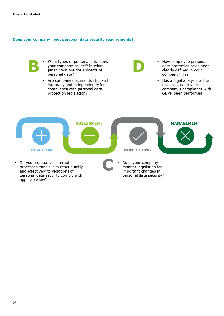applicable law?

#### **Does your company meet personal data security requirements?**

What types of personal data does your company collect? In what jurisdiction are the subjects of personal data?

• Are company documents checked internally and independently for compliance with personal data protection legislation?

- Have employee personal  $\bullet$ data protection roles been clearly defined in your company? Has
- Has a legal analysis of the  $\ddot{\phantom{0}}$ risks related to your company's compliance with GDPR been performed?

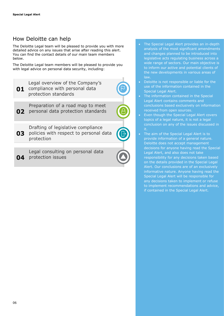## How Deloitte can help

The Deloitte Legal team will be pleased to provide you with more detailed advice on any issues that arise after reading this alert. You can find the contact details of our main team members below.

The Deloitte Legal team members will be pleased to provide you with legal advice on personal data security, including:

Legal overview of the Company's 01 compliance with personal data protection standards

Preparation of a road map to meet  $02<sub>2</sub>$ personal data protection standards

Drafting of legislative compliance 03 policies with respect to personal data protection

Legal consulting on personal data 04 protection issues



 The Special Legal Alert provides an in-depth analysis of the most significant amendments and changes planned to be introduced into legislative acts regulating business across a wide range of sectors. Our main objective is to inform our active and potential clients of the new developments in various areas of law.

- Deloitte is not responsible or liable for the use of the information contained in the Special Legal Alert.
- The information contained in the Special Legal Alert contains comments and conclusions based exclusively on information received from open sources.
- Even though the Special Legal Alert covers topics of a legal nature, it is not a legal conclusion on any of the issues discussed in
- The aim of the Special Legal Alert is to provide information of a general nature. Deloitte does not accept management decisions for anyone having read the Special Legal Alert, and also does not take responsibility for any decisions taken based on the details provided in the Special Legal Alert. Our conclusions are of an exclusively informative nature. Anyone having read the Special Legal Alert will be responsible for any decisions taken to implement or refuse to implement recommendations and advice, if contained in the Special Legal Alert.